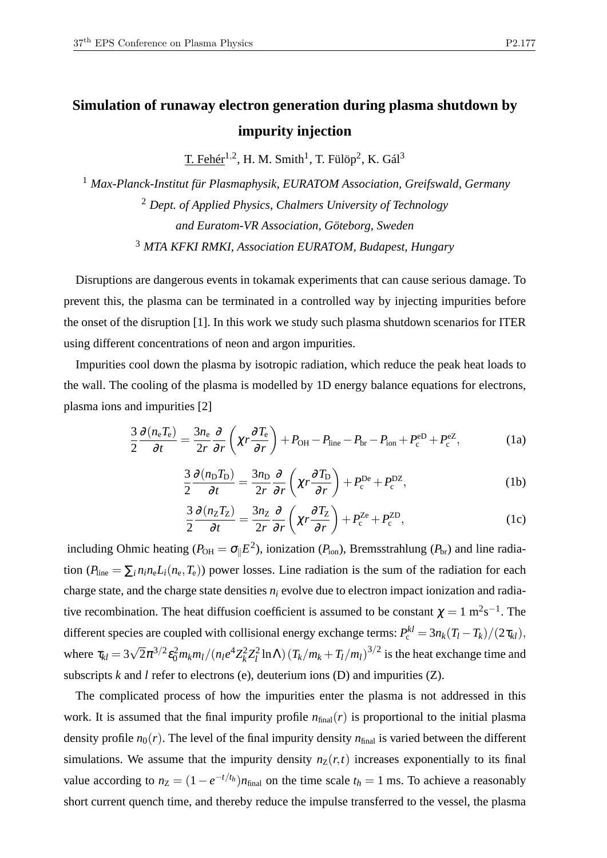## **Simulation of runaway electron generation during plasma shutdown by impurity injection**

T. Fehér $^{1,2}$ , H. M. Smith<sup>1</sup>, T. Fülöp<sup>2</sup>, K. Gál<sup>3</sup>

 *Max-Planck-Institut für Plasmaphysik, EURATOM Association, Greifswald, Germany Dept. of Applied Physics, Chalmers University of Technology and Euratom-VR Association, Göteborg, Sweden MTA KFKI RMKI, Association EURATOM, Budapest, Hungary*

Disruptions are dangerous events in tokamak experiments that can cause serious damage. To prevent this, the plasma can be terminated in a controlled way by injecting impurities before the onset of the disruption [1]. In this work we study such plasma shutdown scenarios for ITER using different concentrations of neon and argon impurities.

Impurities cool down the plasma by isotropic radiation, which reduce the peak heat loads to the wall. The cooling of the plasma is modelled by 1D energy balance equations for electrons, plasma ions and impurities [2]

$$
\frac{3}{2}\frac{\partial (n_{\rm e}T_{\rm e})}{\partial t} = \frac{3n_{\rm e}}{2r}\frac{\partial}{\partial r}\left(\chi r \frac{\partial T_{\rm e}}{\partial r}\right) + P_{\rm OH} - P_{\rm line} - P_{\rm br} - P_{\rm ion} + P_{\rm c}^{\rm eD} + P_{\rm c}^{\rm eZ},\tag{1a}
$$

$$
\frac{3}{2}\frac{\partial (n_{\rm D}T_{\rm D})}{\partial t} = \frac{3n_{\rm D}}{2r}\frac{\partial}{\partial r}\left(\chi r \frac{\partial T_{\rm D}}{\partial r}\right) + P_{\rm c}^{\rm De} + P_{\rm c}^{\rm DZ},\tag{1b}
$$

$$
\frac{3}{2}\frac{\partial (n_Z T_Z)}{\partial t} = \frac{3n_Z}{2r}\frac{\partial}{\partial r}\left(\chi r \frac{\partial T_Z}{\partial r}\right) + P_c^{Ze} + P_c^{ZD},\tag{1c}
$$

including Ohmic heating ( $P_{OH} = \sigma_{\parallel} E^2$ ), ionization ( $P_{ion}$ ), Bremsstrahlung ( $P_{br}$ ) and line radiation  $(P_{\text{line}} = \sum_i n_i n_e L_i(n_e, T_e))$  power losses. Line radiation is the sum of the radiation for each charge state, and the charge state densities  $n_i$  evolve due to electron impact ionization and radiative recombination. The heat diffusion coefficient is assumed to be constant  $\chi = 1 \text{ m}^2 \text{s}^{-1}$ . The different species are coupled with collisional energy exchange terms:  $P_c^{kl} = 3n_k(T_l - T_k)/(2\tau_{kl}),$ where  $\tau_{kl} = 3\sqrt{2}\pi^{3/2} \epsilon_0^2 m_k m_l / (n_l e^4 Z_k^2)$  $k^2 Z_l^2$  $\int_l^2 \ln\Lambda \left( T_k/m_k + T_l/m_l \right)^{3/2}$  is the heat exchange time and subscripts *k* and *l* refer to electrons (e), deuterium ions (D) and impurities (Z).

The complicated process of how the impurities enter the plasma is not addressed in this work. It is assumed that the final impurity profile  $n_{final}(r)$  is proportional to the initial plasma density profile  $n_0(r)$ . The level of the final impurity density  $n_{final}$  is varied between the different simulations. We assume that the impurity density  $n_Z(r,t)$  increases exponentially to its final value according to  $n_Z = (1 - e^{-t/t_h})n_{final}$  on the time scale  $t_h = 1$  ms. To achieve a reasonably short current quench time, and thereby reduce the impulse transferred to the vessel, the plasma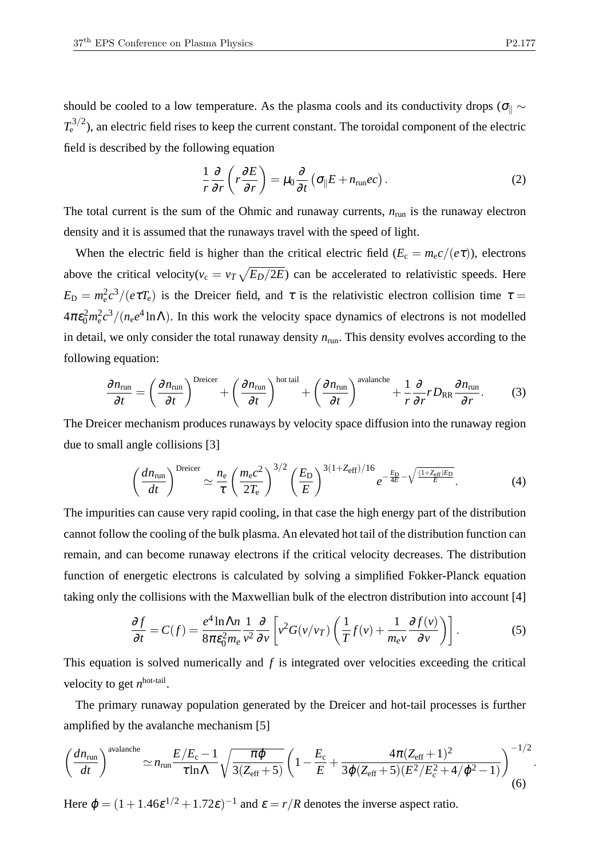should be cooled to a low temperature. As the plasma cools and its conductivity drops ( $\sigma_{\parallel} \sim$  $T_{\rm e}^{3/2}$ ), an electric field rises to keep the current constant. The toroidal component of the electric field is described by the following equation

$$
\frac{1}{r}\frac{\partial}{\partial r}\left(r\frac{\partial E}{\partial r}\right) = \mu_0 \frac{\partial}{\partial t}\left(\sigma_{\parallel} E + n_{\rm run}ec\right). \tag{2}
$$

The total current is the sum of the Ohmic and runaway currents,  $n_{run}$  is the runaway electron density and it is assumed that the runaways travel with the speed of light.

When the electric field is higher than the critical electric field ( $E_c = m_e c/(e\tau)$ ), electrons above the critical velocity( $v_c = v_T \sqrt{E_D/2E}$ ) can be accelerated to relativistic speeds. Here  $E_D = m_e^2 c^3 / (e \tau T_e)$  is the Dreicer field, and  $\tau$  is the relativistic electron collision time  $\tau =$  $4\pi\epsilon_0^2 m_e^2 c^3/(n_e e^4 \ln\Lambda)$ . In this work the velocity space dynamics of electrons is not modelled in detail, we only consider the total runaway density *n*run. This density evolves according to the following equation:

$$
\frac{\partial n_{\text{run}}}{\partial t} = \left(\frac{\partial n_{\text{run}}}{\partial t}\right)^{\text{Breicer}} + \left(\frac{\partial n_{\text{run}}}{\partial t}\right)^{\text{hot tail}} + \left(\frac{\partial n_{\text{run}}}{\partial t}\right)^{\text{avalanche}} + \frac{1}{r}\frac{\partial}{\partial r}rD_{\text{RR}}\frac{\partial n_{\text{run}}}{\partial r}.\tag{3}
$$

The Dreicer mechanism produces runaways by velocity space diffusion into the runaway region due to small angle collisions [3]

$$
\left(\frac{dn_{\rm run}}{dt}\right)^{\rm Dreicer} \simeq \frac{n_{\rm e}}{\tau} \left(\frac{m_{\rm e}c^2}{2T_{\rm e}}\right)^{3/2} \left(\frac{E_{\rm D}}{E}\right)^{3(1+Z_{\rm eff})/16} e^{-\frac{E_{\rm D}}{4E} - \sqrt{\frac{(1+Z_{\rm eff})E_{\rm D}}{E}}}. \tag{4}
$$

The impurities can cause very rapid cooling, in that case the high energy part of the distribution cannot follow the cooling of the bulk plasma. An elevated hot tail of the distribution function can remain, and can become runaway electrons if the critical velocity decreases. The distribution function of energetic electrons is calculated by solving a simplified Fokker-Planck equation taking only the collisions with the Maxwellian bulk of the electron distribution into account [4]

$$
\frac{\partial f}{\partial t} = C(f) = \frac{e^4 \ln \Lambda n}{8\pi \varepsilon_0^2 m_e} \frac{1}{v^2} \frac{\partial}{\partial v} \left[ v^2 G(v/v_T) \left( \frac{1}{T} f(v) + \frac{1}{m_e v} \frac{\partial f(v)}{\partial v} \right) \right].
$$
 (5)

This equation is solved numerically and *f* is integrated over velocities exceeding the critical velocity to get *n*<sup>hot-tail</sup>.

The primary runaway population generated by the Dreicer and hot-tail processes is further amplified by the avalanche mechanism [5]

$$
\left(\frac{dn_{\text{run}}}{dt}\right)^{\text{avalanche}} \simeq n_{\text{run}} \frac{E/E_{\text{c}} - 1}{\tau \ln \Lambda} \sqrt{\frac{\pi \varphi}{3(Z_{\text{eff}} + 5)}} \left(1 - \frac{E_{\text{c}}}{E} + \frac{4\pi (Z_{\text{eff}} + 1)^2}{3\varphi (Z_{\text{eff}} + 5)(E^2/E_{\text{c}}^2 + 4/\varphi^2 - 1)}\right)^{-1/2} (6)
$$

Here  $\varphi = (1 + 1.46\varepsilon^{1/2} + 1.72\varepsilon)^{-1}$  and  $\varepsilon = r/R$  denotes the inverse aspect ratio.

.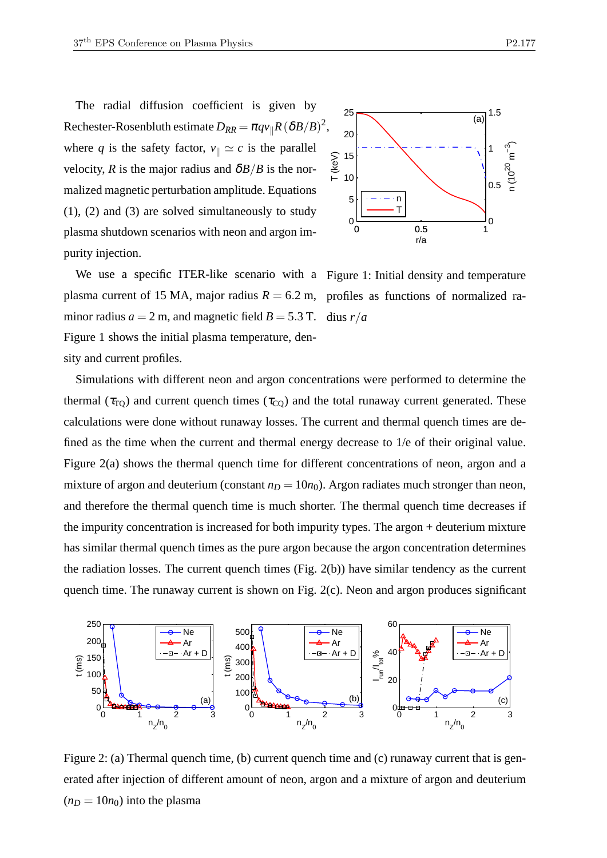The radial diffusion coefficient is given by  $\text{Rechester-Rosenbluth estimate } D_{RR} = \pi q v_{\parallel} R \left(\delta B / B \right)^2,$ where *q* is the safety factor,  $v_{\parallel} \simeq c$  is the parallel velocity, *R* is the major radius and  $\delta B/B$  is the normalized magnetic perturbation amplitude. Equations (1), (2) and (3) are solved simultaneously to study plasma shutdown scenarios with neon and argon impurity injection.



We use a specific ITER-like scenario with a Figure 1: Initial density and temperature plasma current of 15 MA, major radius  $R = 6.2$  m, profiles as functions of normalized raminor radius  $a = 2$  m, and magnetic field  $B = 5.3$  T. Figure 1 shows the initial plasma temperature, density and current profiles.

dius *r*/*a*

Simulations with different neon and argon concentrations were performed to determine the thermal ( $\tau_{\text{TO}}$ ) and current quench times ( $\tau_{\text{CO}}$ ) and the total runaway current generated. These calculations were done without runaway losses. The current and thermal quench times are defined as the time when the current and thermal energy decrease to 1/e of their original value. Figure 2(a) shows the thermal quench time for different concentrations of neon, argon and a mixture of argon and deuterium (constant  $n_D = 10n_0$ ). Argon radiates much stronger than neon, and therefore the thermal quench time is much shorter. The thermal quench time decreases if the impurity concentration is increased for both impurity types. The argon + deuterium mixture has similar thermal quench times as the pure argon because the argon concentration determines the radiation losses. The current quench times (Fig. 2(b)) have similar tendency as the current quench time. The runaway current is shown on Fig. 2(c). Neon and argon produces significant



Figure 2: (a) Thermal quench time, (b) current quench time and (c) runaway current that is generated after injection of different amount of neon, argon and a mixture of argon and deuterium  $(n_D = 10n_0)$  into the plasma